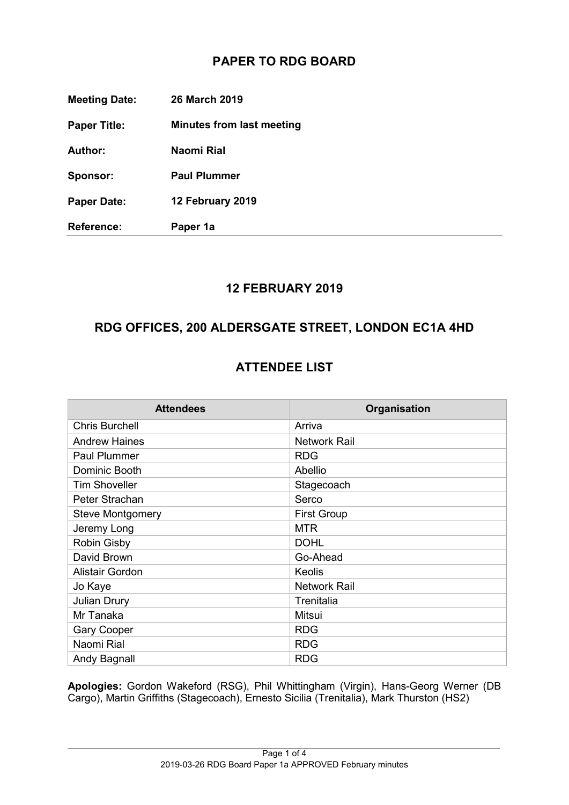## **PAPER TO RDG BOARD**

| <b>Meeting Date:</b> | <b>26 March 2019</b>             |
|----------------------|----------------------------------|
| <b>Paper Title:</b>  | <b>Minutes from last meeting</b> |
| <b>Author:</b>       | Naomi Rial                       |
| Sponsor:             | <b>Paul Plummer</b>              |
| <b>Paper Date:</b>   | 12 February 2019                 |
| <b>Reference:</b>    | Paper 1a                         |

#### **12 FEBRUARY 2019**

### **RDG OFFICES, 200 ALDERSGATE STREET, LONDON EC1A 4HD**

### **ATTENDEE LIST**

| <b>Attendees</b>        | Organisation       |
|-------------------------|--------------------|
| <b>Chris Burchell</b>   | Arriva             |
| <b>Andrew Haines</b>    | Network Rail       |
| <b>Paul Plummer</b>     | <b>RDG</b>         |
| Dominic Booth           | Abellio            |
| <b>Tim Shoveller</b>    | Stagecoach         |
| Peter Strachan          | Serco              |
| <b>Steve Montgomery</b> | <b>First Group</b> |
| Jeremy Long             | <b>MTR</b>         |
| <b>Robin Gisby</b>      | <b>DOHL</b>        |
| David Brown             | Go-Ahead           |
| Alistair Gordon         | Keolis             |
| Jo Kaye                 | Network Rail       |
| <b>Julian Drury</b>     | Trenitalia         |
| Mr Tanaka               | Mitsui             |
| <b>Gary Cooper</b>      | <b>RDG</b>         |
| Naomi Rial              | <b>RDG</b>         |
| Andy Bagnall            | <b>RDG</b>         |

**Apologies:** Gordon Wakeford (RSG), Phil Whittingham (Virgin), Hans-Georg Werner (DB Cargo), Martin Griffiths (Stagecoach), Ernesto Sicilia (Trenitalia), Mark Thurston (HS2)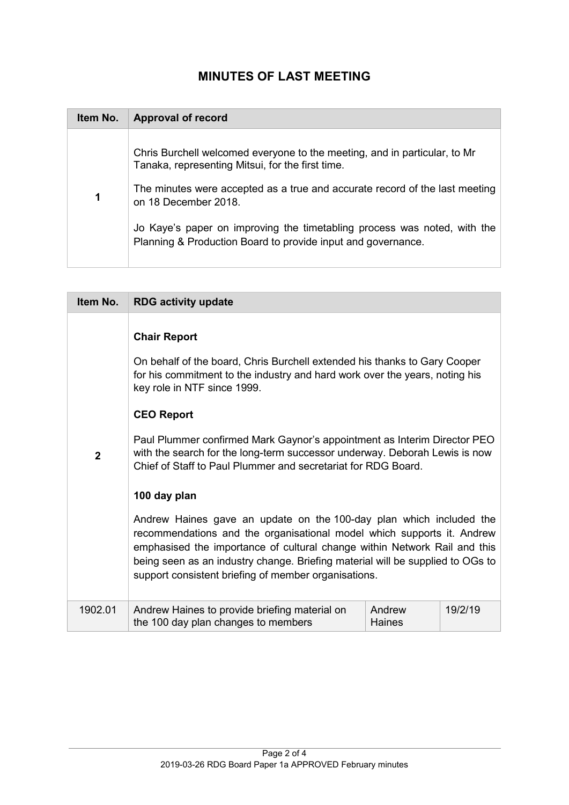# **MINUTES OF LAST MEETING**

| Item No. | <b>Approval of record</b>                                                                                                                |
|----------|------------------------------------------------------------------------------------------------------------------------------------------|
|          | Chris Burchell welcomed everyone to the meeting, and in particular, to Mr<br>Tanaka, representing Mitsui, for the first time.            |
|          | The minutes were accepted as a true and accurate record of the last meeting<br>on 18 December 2018.                                      |
|          | Jo Kaye's paper on improving the timetabling process was noted, with the<br>Planning & Production Board to provide input and governance. |

| Item No.     | <b>RDG activity update</b>                                                                                                                                                                                                                                                                                                                                                                                                                                                     |                  |         |
|--------------|--------------------------------------------------------------------------------------------------------------------------------------------------------------------------------------------------------------------------------------------------------------------------------------------------------------------------------------------------------------------------------------------------------------------------------------------------------------------------------|------------------|---------|
| $\mathbf{2}$ | <b>Chair Report</b><br>On behalf of the board, Chris Burchell extended his thanks to Gary Cooper<br>for his commitment to the industry and hard work over the years, noting his<br>key role in NTF since 1999.<br><b>CEO Report</b><br>Paul Plummer confirmed Mark Gaynor's appointment as Interim Director PEO<br>with the search for the long-term successor underway. Deborah Lewis is now<br>Chief of Staff to Paul Plummer and secretariat for RDG Board.<br>100 day plan |                  |         |
|              | Andrew Haines gave an update on the 100-day plan which included the<br>recommendations and the organisational model which supports it. Andrew<br>emphasised the importance of cultural change within Network Rail and this<br>being seen as an industry change. Briefing material will be supplied to OGs to<br>support consistent briefing of member organisations.                                                                                                           |                  |         |
| 1902.01      | Andrew Haines to provide briefing material on<br>the 100 day plan changes to members                                                                                                                                                                                                                                                                                                                                                                                           | Andrew<br>Haines | 19/2/19 |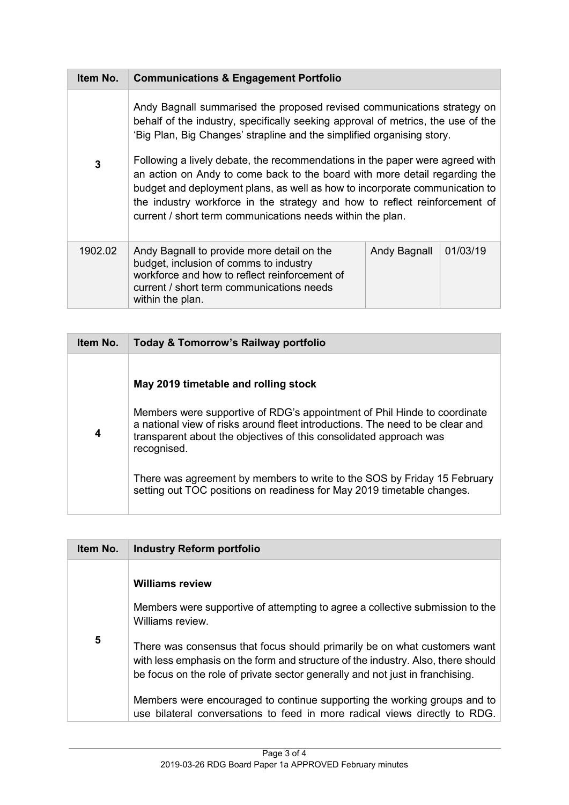| Item No. | <b>Communications &amp; Engagement Portfolio</b>                                                                                                                                                                                                                                                                                                                                                                                                                                                                                                                                                                               |              |          |
|----------|--------------------------------------------------------------------------------------------------------------------------------------------------------------------------------------------------------------------------------------------------------------------------------------------------------------------------------------------------------------------------------------------------------------------------------------------------------------------------------------------------------------------------------------------------------------------------------------------------------------------------------|--------------|----------|
| 3        | Andy Bagnall summarised the proposed revised communications strategy on<br>behalf of the industry, specifically seeking approval of metrics, the use of the<br>'Big Plan, Big Changes' strapline and the simplified organising story.<br>Following a lively debate, the recommendations in the paper were agreed with<br>an action on Andy to come back to the board with more detail regarding the<br>budget and deployment plans, as well as how to incorporate communication to<br>the industry workforce in the strategy and how to reflect reinforcement of<br>current / short term communications needs within the plan. |              |          |
| 1902.02  | Andy Bagnall to provide more detail on the<br>budget, inclusion of comms to industry<br>workforce and how to reflect reinforcement of<br>current / short term communications needs<br>within the plan.                                                                                                                                                                                                                                                                                                                                                                                                                         | Andy Bagnall | 01/03/19 |

| Item No. | Today & Tomorrow's Railway portfolio                                                                                                                                                                                                                                                   |
|----------|----------------------------------------------------------------------------------------------------------------------------------------------------------------------------------------------------------------------------------------------------------------------------------------|
| 4        | May 2019 timetable and rolling stock<br>Members were supportive of RDG's appointment of Phil Hinde to coordinate<br>a national view of risks around fleet introductions. The need to be clear and<br>transparent about the objectives of this consolidated approach was<br>recognised. |
|          | There was agreement by members to write to the SOS by Friday 15 February<br>setting out TOC positions on readiness for May 2019 timetable changes.                                                                                                                                     |

| Item No. | <b>Industry Reform portfolio</b>                                                                                                                                                                                                               |
|----------|------------------------------------------------------------------------------------------------------------------------------------------------------------------------------------------------------------------------------------------------|
|          | <b>Williams review</b>                                                                                                                                                                                                                         |
|          | Members were supportive of attempting to agree a collective submission to the<br>Williams review.                                                                                                                                              |
| 5        | There was consensus that focus should primarily be on what customers want<br>with less emphasis on the form and structure of the industry. Also, there should<br>be focus on the role of private sector generally and not just in franchising. |
|          | Members were encouraged to continue supporting the working groups and to<br>use bilateral conversations to feed in more radical views directly to RDG.                                                                                         |